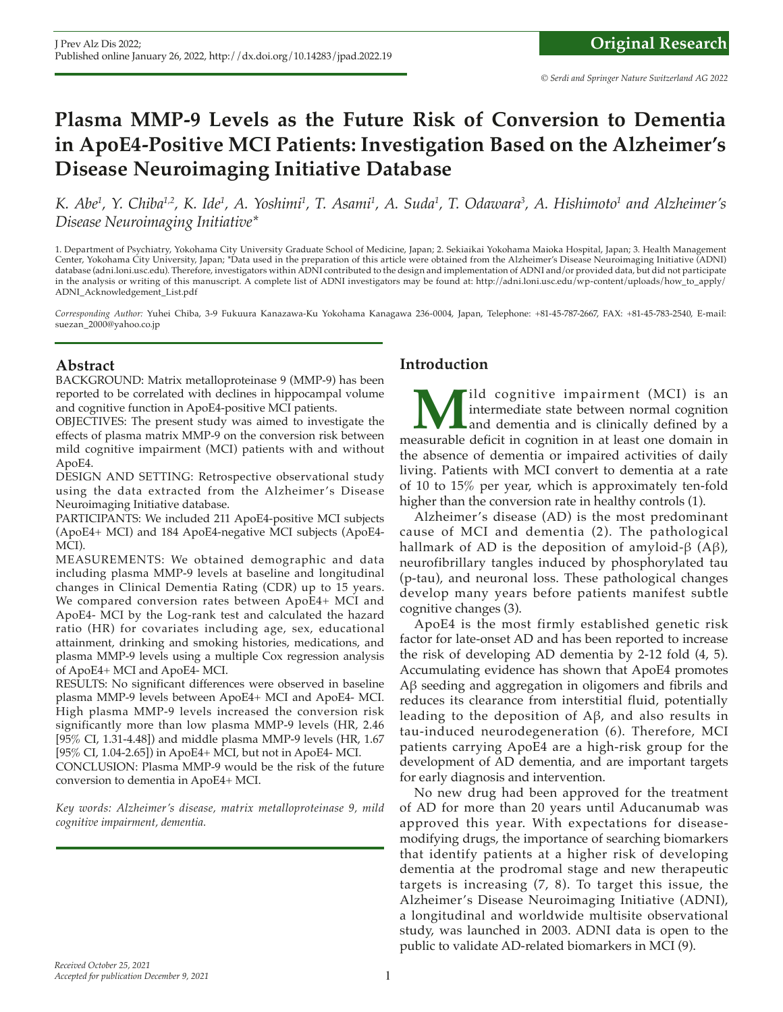# **Plasma MMP-9 Levels as the Future Risk of Conversion to Dementia in ApoE4-Positive MCI Patients: Investigation Based on the Alzheimer's Disease Neuroimaging Initiative Database**

*K. Abe<sup>1</sup>, Y. Chiba<sup>1,2</sup>, K. Ide<sup>1</sup>, A. Yoshimi<sup>1</sup>, T. Asami<sup>1</sup>, A. Suda<sup>1</sup>, T. Odawara<sup>3</sup>, A. Hishimoto<sup>1</sup> and Alzheimer's Disease Neuroimaging Initiative\**

1. Department of Psychiatry, Yokohama City University Graduate School of Medicine, Japan; 2. Sekiaikai Yokohama Maioka Hospital, Japan; 3. Health Management Center, Yokohama City University, Japan; \*Data used in the preparation of this article were obtained from the Alzheimer's Disease Neuroimaging Initiative (ADNI) database (adni.loni.usc.edu). Therefore, investigators within ADNI contributed to the design and implementation of ADNI and/or provided data, but did not participate in the analysis or writing of this manuscript. A complete list of ADNI investigators may be found at: http://adni.loni.usc.edu/wp-content/uploads/how\_to\_apply/ ADNI\_Acknowledgement\_List.pdf

*Corresponding Author:* Yuhei Chiba, 3-9 Fukuura Kanazawa-Ku Yokohama Kanagawa 236-0004, Japan, Telephone: +81-45-787-2667, FAX: +81-45-783-2540, E-mail: suezan\_2000@yahoo.co.jp

# **Abstract**

BACKGROUND: Matrix metalloproteinase 9 (MMP-9) has been reported to be correlated with declines in hippocampal volume and cognitive function in ApoE4-positive MCI patients.

OBJECTIVES: The present study was aimed to investigate the effects of plasma matrix MMP-9 on the conversion risk between mild cognitive impairment (MCI) patients with and without ApoE4.

DESIGN AND SETTING: Retrospective observational study using the data extracted from the Alzheimer's Disease Neuroimaging Initiative database.

PARTICIPANTS: We included 211 ApoE4-positive MCI subjects (ApoE4+ MCI) and 184 ApoE4-negative MCI subjects (ApoE4- MCI).

MEASUREMENTS: We obtained demographic and data including plasma MMP-9 levels at baseline and longitudinal changes in Clinical Dementia Rating (CDR) up to 15 years. We compared conversion rates between ApoE4+ MCI and ApoE4- MCI by the Log-rank test and calculated the hazard ratio (HR) for covariates including age, sex, educational attainment, drinking and smoking histories, medications, and plasma MMP-9 levels using a multiple Cox regression analysis of ApoE4+ MCI and ApoE4- MCI.

RESULTS: No significant differences were observed in baseline plasma MMP-9 levels between ApoE4+ MCI and ApoE4- MCI. High plasma MMP-9 levels increased the conversion risk significantly more than low plasma MMP-9 levels (HR, 2.46 [95% CI, 1.31-4.48]) and middle plasma MMP-9 levels (HR, 1.67 [95% CI, 1.04-2.65]) in ApoE4+ MCI, but not in ApoE4- MCI.

CONCLUSION: Plasma MMP-9 would be the risk of the future conversion to dementia in ApoE4+ MCI.

*Key words: Alzheimer's disease, matrix metalloproteinase 9, mild cognitive impairment, dementia.*

# **Introduction**

**M**ild cognitive impairment (MCI) is an intermediate state between normal cognition and dementia and is clinically defined by a measurable deficit in cognition in at least one domain in intermediate state between normal cognition and dementia and is clinically defined by a the absence of dementia or impaired activities of daily living. Patients with MCI convert to dementia at a rate of 10 to 15% per year, which is approximately ten-fold higher than the conversion rate in healthy controls (1).

Alzheimer's disease (AD) is the most predominant cause of MCI and dementia (2). The pathological hallmark of AD is the deposition of amyloid-β (Aβ), neurofibrillary tangles induced by phosphorylated tau (p-tau), and neuronal loss. These pathological changes develop many years before patients manifest subtle cognitive changes (3).

ApoE4 is the most firmly established genetic risk factor for late-onset AD and has been reported to increase the risk of developing AD dementia by 2-12 fold (4, 5). Accumulating evidence has shown that ApoE4 promotes Aβ seeding and aggregation in oligomers and fibrils and reduces its clearance from interstitial fluid, potentially leading to the deposition of  $A\beta$ , and also results in tau-induced neurodegeneration (6). Therefore, MCI patients carrying ApoE4 are a high-risk group for the development of AD dementia, and are important targets for early diagnosis and intervention.

No new drug had been approved for the treatment of AD for more than 20 years until Aducanumab was approved this year. With expectations for diseasemodifying drugs, the importance of searching biomarkers that identify patients at a higher risk of developing dementia at the prodromal stage and new therapeutic targets is increasing (7, 8). To target this issue, the Alzheimer's Disease Neuroimaging Initiative (ADNI), a longitudinal and worldwide multisite observational study, was launched in 2003. ADNI data is open to the public to validate AD-related biomarkers in MCI (9).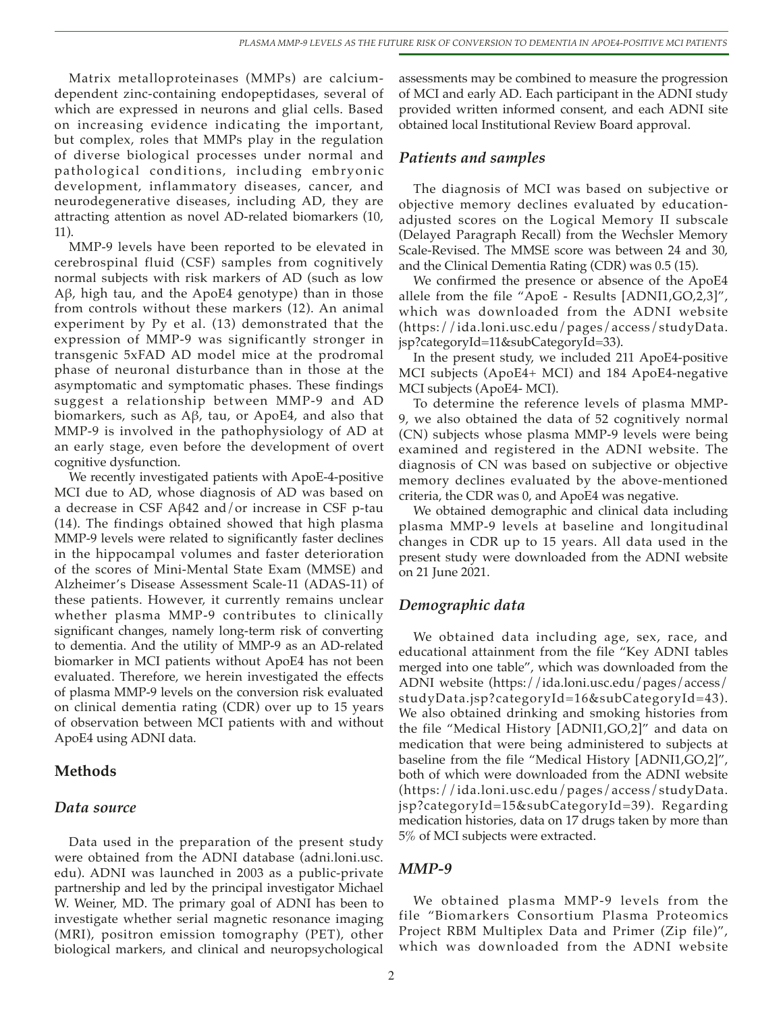Matrix metalloproteinases (MMPs) are calciumdependent zinc-containing endopeptidases, several of which are expressed in neurons and glial cells. Based on increasing evidence indicating the important, but complex, roles that MMPs play in the regulation of diverse biological processes under normal and pathological conditions, including embryonic development, inflammatory diseases, cancer, and neurodegenerative diseases, including AD, they are attracting attention as novel AD-related biomarkers (10, 11).

MMP-9 levels have been reported to be elevated in cerebrospinal fluid (CSF) samples from cognitively normal subjects with risk markers of AD (such as low Aβ, high tau, and the ApoE4 genotype) than in those from controls without these markers (12). An animal experiment by Py et al. (13) demonstrated that the expression of MMP-9 was significantly stronger in transgenic 5xFAD AD model mice at the prodromal phase of neuronal disturbance than in those at the asymptomatic and symptomatic phases. These findings suggest a relationship between MMP-9 and AD biomarkers, such as Aβ, tau, or ApoE4, and also that MMP-9 is involved in the pathophysiology of AD at an early stage, even before the development of overt cognitive dysfunction.

We recently investigated patients with ApoE-4-positive MCI due to AD, whose diagnosis of AD was based on a decrease in CSF Aβ42 and/or increase in CSF p-tau (14). The findings obtained showed that high plasma MMP-9 levels were related to significantly faster declines in the hippocampal volumes and faster deterioration of the scores of Mini-Mental State Exam (MMSE) and Alzheimer's Disease Assessment Scale-11 (ADAS-11) of these patients. However, it currently remains unclear whether plasma MMP-9 contributes to clinically significant changes, namely long-term risk of converting to dementia. And the utility of MMP-9 as an AD-related biomarker in MCI patients without ApoE4 has not been evaluated. Therefore, we herein investigated the effects of plasma MMP-9 levels on the conversion risk evaluated on clinical dementia rating (CDR) over up to 15 years of observation between MCI patients with and without ApoE4 using ADNI data.

# **Methods**

# *Data source*

Data used in the preparation of the present study were obtained from the ADNI database (adni.loni.usc. edu). ADNI was launched in 2003 as a public-private partnership and led by the principal investigator Michael W. Weiner, MD. The primary goal of ADNI has been to investigate whether serial magnetic resonance imaging (MRI), positron emission tomography (PET), other biological markers, and clinical and neuropsychological

assessments may be combined to measure the progression of MCI and early AD. Each participant in the ADNI study provided written informed consent, and each ADNI site obtained local Institutional Review Board approval.

#### *Patients and samples*

The diagnosis of MCI was based on subjective or objective memory declines evaluated by educationadjusted scores on the Logical Memory II subscale (Delayed Paragraph Recall) from the Wechsler Memory Scale-Revised. The MMSE score was between 24 and 30, and the Clinical Dementia Rating (CDR) was 0.5 (15).

We confirmed the presence or absence of the ApoE4 allele from the file "ApoE - Results [ADNI1,GO,2,3]", which was downloaded from the ADNI website (https://ida.loni.usc.edu/pages/access/studyData. jsp?categoryId=11&subCategoryId=33).

In the present study, we included 211 ApoE4-positive MCI subjects (ApoE4+ MCI) and 184 ApoE4-negative MCI subjects (ApoE4- MCI).

To determine the reference levels of plasma MMP-9, we also obtained the data of 52 cognitively normal (CN) subjects whose plasma MMP-9 levels were being examined and registered in the ADNI website. The diagnosis of CN was based on subjective or objective memory declines evaluated by the above-mentioned criteria, the CDR was 0, and ApoE4 was negative.

We obtained demographic and clinical data including plasma MMP-9 levels at baseline and longitudinal changes in CDR up to 15 years. All data used in the present study were downloaded from the ADNI website on 21 June 2021.

# *Demographic data*

We obtained data including age, sex, race, and educational attainment from the file "Key ADNI tables merged into one table", which was downloaded from the ADNI website (https://ida.loni.usc.edu/pages/access/ studyData.jsp?categoryId=16&subCategoryId=43). We also obtained drinking and smoking histories from the file "Medical History [ADNI1,GO,2]" and data on medication that were being administered to subjects at baseline from the file "Medical History [ADNI1,GO,2]", both of which were downloaded from the ADNI website (https://ida.loni.usc.edu/pages/access/studyData. jsp?categoryId=15&subCategoryId=39). Regarding medication histories, data on 17 drugs taken by more than 5% of MCI subjects were extracted.

#### *MMP-9*

We obtained plasma MMP-9 levels from the file "Biomarkers Consortium Plasma Proteomics Project RBM Multiplex Data and Primer (Zip file)", which was downloaded from the ADNI website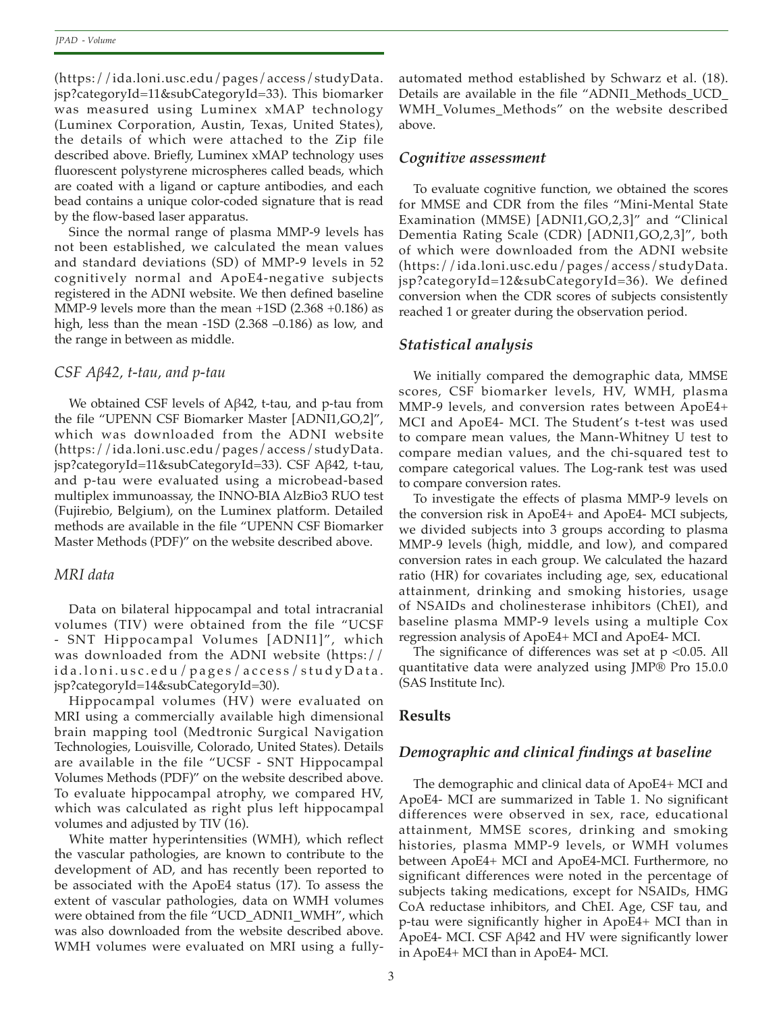(https://ida.loni.usc.edu/pages/access/studyData. jsp?categoryId=11&subCategoryId=33). This biomarker was measured using Luminex xMAP technology (Luminex Corporation, Austin, Texas, United States), the details of which were attached to the Zip file described above. Briefly, Luminex xMAP technology uses fluorescent polystyrene microspheres called beads, which are coated with a ligand or capture antibodies, and each bead contains a unique color-coded signature that is read by the flow-based laser apparatus.

Since the normal range of plasma MMP-9 levels has not been established, we calculated the mean values and standard deviations (SD) of MMP-9 levels in 52 cognitively normal and ApoE4-negative subjects registered in the ADNI website. We then defined baseline MMP-9 levels more than the mean +1SD (2.368 +0.186) as high, less than the mean -1SD (2.368 –0.186) as low, and the range in between as middle.

# *CSF Aβ42, t-tau, and p-tau*

We obtained CSF levels of Aβ42, t-tau, and p-tau from the file "UPENN CSF Biomarker Master [ADNI1,GO,2]", which was downloaded from the ADNI website (https://ida.loni.usc.edu/pages/access/studyData. jsp?categoryId=11&subCategoryId=33). CSF Aβ42, t-tau, and p-tau were evaluated using a microbead-based multiplex immunoassay, the INNO-BIA AlzBio3 RUO test (Fujirebio, Belgium), on the Luminex platform. Detailed methods are available in the file "UPENN CSF Biomarker Master Methods (PDF)" on the website described above.

# *MRI data*

Data on bilateral hippocampal and total intracranial volumes (TIV) were obtained from the file "UCSF - SNT Hippocampal Volumes [ADNI1]", which was downloaded from the ADNI website (https:// ida.loni.usc.edu/pages/access/studyData. jsp?categoryId=14&subCategoryId=30).

Hippocampal volumes (HV) were evaluated on MRI using a commercially available high dimensional brain mapping tool (Medtronic Surgical Navigation Technologies, Louisville, Colorado, United States). Details are available in the file "UCSF - SNT Hippocampal Volumes Methods (PDF)" on the website described above. To evaluate hippocampal atrophy, we compared HV, which was calculated as right plus left hippocampal volumes and adjusted by TIV (16).

White matter hyperintensities (WMH), which reflect the vascular pathologies, are known to contribute to the development of AD, and has recently been reported to be associated with the ApoE4 status (17). To assess the extent of vascular pathologies, data on WMH volumes were obtained from the file "UCD\_ADNI1\_WMH", which was also downloaded from the website described above. WMH volumes were evaluated on MRI using a fullyautomated method established by Schwarz et al. (18). Details are available in the file "ADNI1\_Methods\_UCD\_ WMH\_Volumes\_Methods" on the website described above.

# *Cognitive assessment*

To evaluate cognitive function, we obtained the scores for MMSE and CDR from the files "Mini-Mental State Examination (MMSE) [ADNI1,GO,2,3]" and "Clinical Dementia Rating Scale (CDR) [ADNI1,GO,2,3]", both of which were downloaded from the ADNI website (https://ida.loni.usc.edu/pages/access/studyData. jsp?categoryId=12&subCategoryId=36). We defined conversion when the CDR scores of subjects consistently reached 1 or greater during the observation period.

# *Statistical analysis*

We initially compared the demographic data, MMSE scores, CSF biomarker levels, HV, WMH, plasma MMP-9 levels, and conversion rates between ApoE4+ MCI and ApoE4- MCI. The Student's t-test was used to compare mean values, the Mann-Whitney U test to compare median values, and the chi-squared test to compare categorical values. The Log-rank test was used to compare conversion rates.

To investigate the effects of plasma MMP-9 levels on the conversion risk in ApoE4+ and ApoE4- MCI subjects, we divided subjects into 3 groups according to plasma MMP-9 levels (high, middle, and low), and compared conversion rates in each group. We calculated the hazard ratio (HR) for covariates including age, sex, educational attainment, drinking and smoking histories, usage of NSAIDs and cholinesterase inhibitors (ChEI), and baseline plasma MMP-9 levels using a multiple Cox regression analysis of ApoE4+ MCI and ApoE4- MCI.

The significance of differences was set at  $p < 0.05$ . All quantitative data were analyzed using JMP® Pro 15.0.0 (SAS Institute Inc).

# **Results**

# *Demographic and clinical findings at baseline*

The demographic and clinical data of ApoE4+ MCI and ApoE4- MCI are summarized in Table 1. No significant differences were observed in sex, race, educational attainment, MMSE scores, drinking and smoking histories, plasma MMP-9 levels, or WMH volumes between ApoE4+ MCI and ApoE4-MCI. Furthermore, no significant differences were noted in the percentage of subjects taking medications, except for NSAIDs, HMG CoA reductase inhibitors, and ChEI. Age, CSF tau, and p-tau were significantly higher in ApoE4+ MCI than in ApoE4- MCI. CSF Aβ42 and HV were significantly lower in ApoE4+ MCI than in ApoE4- MCI.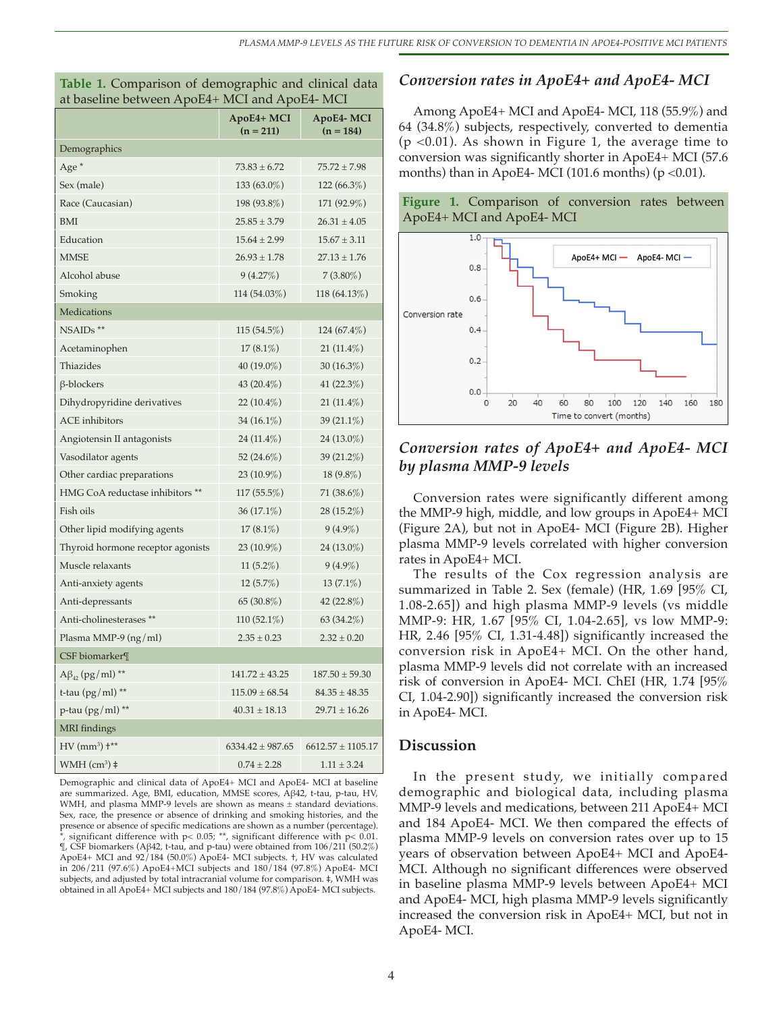| Table 1. Comparison of demographic and clinical data |  |
|------------------------------------------------------|--|
| at baseline between ApoE4+ MCI and ApoE4- MCI        |  |

|                                      | ApoE4+ MCI<br>ApoE4-MCI<br>$(n = 211)$<br>$(n = 184)$ |                       |  |
|--------------------------------------|-------------------------------------------------------|-----------------------|--|
| Demographics                         |                                                       |                       |  |
| Age <sup>*</sup>                     | $73.83 \pm 6.72$                                      | $75.72 \pm 7.98$      |  |
| Sex (male)                           | 133 (63.0%)                                           | 122 (66.3%)           |  |
| Race (Caucasian)                     | 198 (93.8%)                                           | 171 (92.9%)           |  |
| <b>BMI</b>                           | $25.85 \pm 3.79$                                      | $26.31 \pm 4.05$      |  |
| Education                            | $15.64 \pm 2.99$                                      | $15.67 \pm 3.11$      |  |
| <b>MMSE</b>                          | $26.93 \pm 1.78$                                      | $27.13 \pm 1.76$      |  |
| Alcohol abuse                        | 9(4.27%)                                              | $7(3.80\%)$           |  |
| Smoking                              | 114 (54.03%)                                          | 118 (64.13%)          |  |
| <b>Medications</b>                   |                                                       |                       |  |
| $NSAIDs$ **                          | $115(54.5\%)$                                         | $124(67.4\%)$         |  |
| Acetaminophen                        | $17(8.1\%)$                                           | $21(11.4\%)$          |  |
| Thiazides                            | 40 (19.0%)                                            | 30 $(16.3\%)$         |  |
| $\beta$ -blockers                    | 43 (20.4%)                                            | 41 (22.3%)            |  |
| Dihydropyridine derivatives          | 22 $(10.4\%)$                                         | $21(11.4\%)$          |  |
| <b>ACE</b> inhibitors                | 34 (16.1%)                                            | 39 (21.1%)            |  |
| Angiotensin II antagonists           | 24 (11.4%)                                            | 24 (13.0%)            |  |
| Vasodilator agents                   | $52(24.6\%)$                                          | 39 (21.2%)            |  |
| Other cardiac preparations           | 23 (10.9%)                                            | 18 (9.8%)             |  |
| HMG CoA reductase inhibitors **      | 117 (55.5%)                                           | 71 (38.6%)            |  |
| Fish oils                            | 36 (17.1%)                                            | 28 (15.2%)            |  |
| Other lipid modifying agents         | $17(8.1\%)$                                           | $9(4.9\%)$            |  |
| Thyroid hormone receptor agonists    | 23 (10.9%)                                            | $24(13.0\%)$          |  |
| Muscle relaxants                     | 11 $(5.2\%)$                                          | $9(4.9\%)$            |  |
| Anti-anxiety agents                  | $12(5.7\%)$                                           | $13(7.1\%)$           |  |
| Anti-depressants                     | 65 (30.8%)                                            | 42 (22.8%)            |  |
| Anti-cholinesterases **              | $110(52.1\%)$                                         | $63(34.2\%)$          |  |
| Plasma MMP-9 (ng/ml)                 | $2.35 \pm 0.23$                                       | $2.32 \pm 0.20$       |  |
| CSF biomarker¶                       |                                                       |                       |  |
| $A\beta_{42}$ (pg/ml) **             | $141.72 \pm 43.25$                                    | $187.50 \pm 59.30$    |  |
| t-tau $(pg/ml)$ **                   | $115.09 \pm 68.54$                                    | $84.35 + 48.35$       |  |
| $p$ -tau (pg/ml) **                  | $40.31 \pm 18.13$                                     | $29.71 \pm 16.26$     |  |
| <b>MRI</b> findings                  |                                                       |                       |  |
| $HV$ (mm <sup>3</sup> ) $\dagger$ ** | $6334.42 \pm 987.65$                                  | $6612.57 \pm 1105.17$ |  |
| $WMH$ (cm <sup>3</sup> ) $\ddagger$  | $0.74 + 2.28$                                         | $1.11 \pm 3.24$       |  |

Demographic and clinical data of ApoE4+ MCI and ApoE4- MCI at baseline are summarized. Age, BMI, education, MMSE scores, Aβ42, t-tau, p-tau, HV, WMH, and plasma MMP-9 levels are shown as means ± standard deviations. Sex, race, the presence or absence of drinking and smoking histories, and the presence or absence of specific medications are shown as a number (percentage). significant difference with p< 0.05; \*\*, significant difference with p< 0.01. ¶, CSF biomarkers (Aβ42, t-tau, and p-tau) were obtained from 106/211 (50.2%) ApoE4+ MCI and 92/184 (50.0%) ApoE4- MCI subjects. †, HV was calculated in 206/211 (97.6%) ApoE4+MCI subjects and 180/184 (97.8%) ApoE4- MCI subjects, and adjusted by total intracranial volume for comparison. ‡, WMH was obtained in all ApoE4+ MCI subjects and 180/184 (97.8%) ApoE4- MCI subjects.

#### *Conversion rates in ApoE4+ and ApoE4- MCI*

Among ApoE4+ MCI and ApoE4- MCI, 118 (55.9%) and 64 (34.8%) subjects, respectively, converted to dementia (p <0.01). As shown in Figure 1, the average time to conversion was significantly shorter in ApoE4+ MCI (57.6 months) than in ApoE4- MCI (101.6 months) ( $p < 0.01$ ).





# *Conversion rates of ApoE4+ and ApoE4- MCI by plasma MMP-9 levels*

Conversion rates were significantly different among the MMP-9 high, middle, and low groups in ApoE4+ MCI (Figure 2A), but not in ApoE4- MCI (Figure 2B). Higher plasma MMP-9 levels correlated with higher conversion rates in ApoE4+ MCI.

The results of the Cox regression analysis are summarized in Table 2. Sex (female) (HR, 1.69 [95% CI, 1.08-2.65]) and high plasma MMP-9 levels (vs middle MMP-9: HR, 1.67 [95% CI, 1.04-2.65], vs low MMP-9: HR, 2.46 [95% CI, 1.31-4.48]) significantly increased the conversion risk in ApoE4+ MCI. On the other hand, plasma MMP-9 levels did not correlate with an increased risk of conversion in ApoE4- MCI. ChEI (HR, 1.74 [95% CI, 1.04-2.90]) significantly increased the conversion risk in ApoE4- MCI.

# **Discussion**

In the present study, we initially compared demographic and biological data, including plasma MMP-9 levels and medications, between 211 ApoE4+ MCI and 184 ApoE4- MCI. We then compared the effects of plasma MMP-9 levels on conversion rates over up to 15 years of observation between ApoE4+ MCI and ApoE4- MCI. Although no significant differences were observed in baseline plasma MMP-9 levels between ApoE4+ MCI and ApoE4- MCI, high plasma MMP-9 levels significantly increased the conversion risk in ApoE4+ MCI, but not in ApoE4- MCI.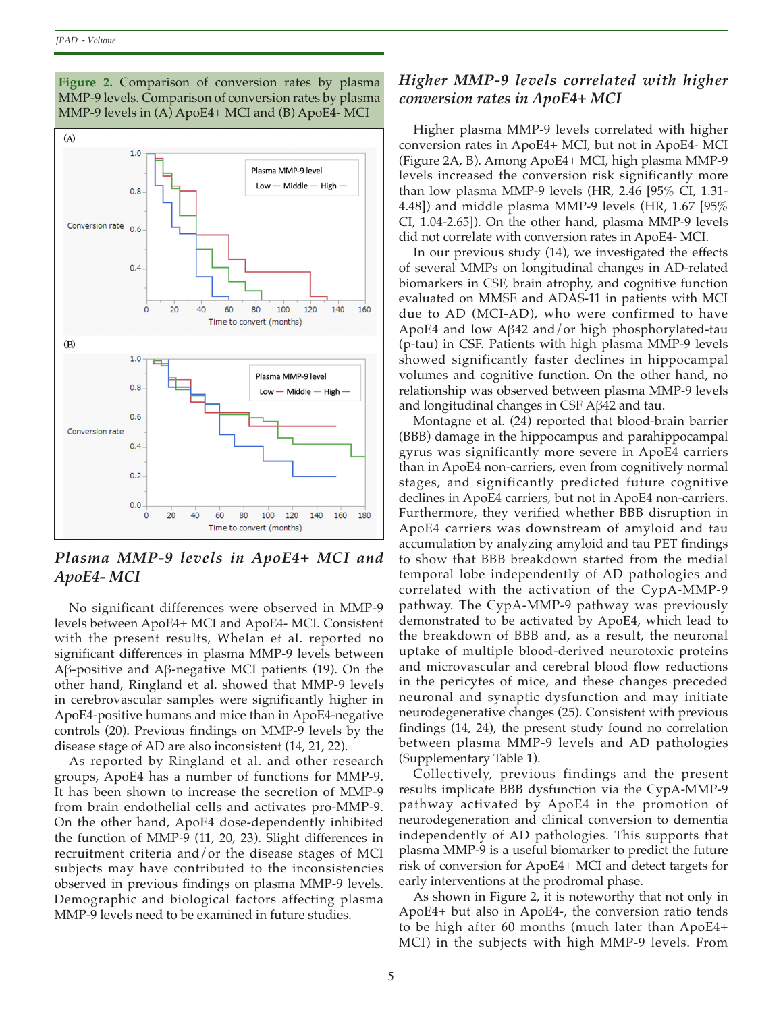**Figure 2.** Comparison of conversion rates by plasma MMP-9 levels. Comparison of conversion rates by plasma MMP-9 levels in (A) ApoE4+ MCI and (B) ApoE4- MCI



*Plasma MMP-9 levels in ApoE4+ MCI and ApoE4- MCI*

No significant differences were observed in MMP-9 levels between ApoE4+ MCI and ApoE4- MCI. Consistent with the present results, Whelan et al. reported no significant differences in plasma MMP-9 levels between Aβ-positive and Aβ-negative MCI patients (19). On the other hand, Ringland et al. showed that MMP-9 levels in cerebrovascular samples were significantly higher in ApoE4-positive humans and mice than in ApoE4-negative controls (20). Previous findings on MMP-9 levels by the disease stage of AD are also inconsistent (14, 21, 22).

As reported by Ringland et al. and other research groups, ApoE4 has a number of functions for MMP-9. It has been shown to increase the secretion of MMP-9 from brain endothelial cells and activates pro-MMP-9. On the other hand, ApoE4 dose-dependently inhibited the function of MMP-9 (11, 20, 23). Slight differences in recruitment criteria and/or the disease stages of MCI subjects may have contributed to the inconsistencies observed in previous findings on plasma MMP-9 levels. Demographic and biological factors affecting plasma MMP-9 levels need to be examined in future studies.

# *Higher MMP-9 levels correlated with higher conversion rates in ApoE4+ MCI*

Higher plasma MMP-9 levels correlated with higher conversion rates in ApoE4+ MCI, but not in ApoE4- MCI (Figure 2A, B). Among ApoE4+ MCI, high plasma MMP-9 levels increased the conversion risk significantly more than low plasma MMP-9 levels (HR, 2.46 [95% CI, 1.31- 4.48]) and middle plasma MMP-9 levels (HR, 1.67 [95% CI, 1.04-2.65]). On the other hand, plasma MMP-9 levels did not correlate with conversion rates in ApoE4- MCI.

In our previous study (14), we investigated the effects of several MMPs on longitudinal changes in AD-related biomarkers in CSF, brain atrophy, and cognitive function evaluated on MMSE and ADAS-11 in patients with MCI due to AD (MCI-AD), who were confirmed to have ApoE4 and low Aβ42 and/or high phosphorylated-tau (p-tau) in CSF. Patients with high plasma MMP-9 levels showed significantly faster declines in hippocampal volumes and cognitive function. On the other hand, no relationship was observed between plasma MMP-9 levels and longitudinal changes in CSF Aβ42 and tau.

Montagne et al. (24) reported that blood-brain barrier (BBB) damage in the hippocampus and parahippocampal gyrus was significantly more severe in ApoE4 carriers than in ApoE4 non-carriers, even from cognitively normal stages, and significantly predicted future cognitive declines in ApoE4 carriers, but not in ApoE4 non-carriers. Furthermore, they verified whether BBB disruption in ApoE4 carriers was downstream of amyloid and tau accumulation by analyzing amyloid and tau PET findings to show that BBB breakdown started from the medial temporal lobe independently of AD pathologies and correlated with the activation of the CypA-MMP-9 pathway. The CypA-MMP-9 pathway was previously demonstrated to be activated by ApoE4, which lead to the breakdown of BBB and, as a result, the neuronal uptake of multiple blood-derived neurotoxic proteins and microvascular and cerebral blood flow reductions in the pericytes of mice, and these changes preceded neuronal and synaptic dysfunction and may initiate neurodegenerative changes (25). Consistent with previous findings (14, 24), the present study found no correlation between plasma MMP-9 levels and AD pathologies (Supplementary Table 1).

Collectively, previous findings and the present results implicate BBB dysfunction via the CypA-MMP-9 pathway activated by ApoE4 in the promotion of neurodegeneration and clinical conversion to dementia independently of AD pathologies. This supports that plasma MMP-9 is a useful biomarker to predict the future risk of conversion for ApoE4+ MCI and detect targets for early interventions at the prodromal phase.

As shown in Figure 2, it is noteworthy that not only in ApoE4+ but also in ApoE4-, the conversion ratio tends to be high after 60 months (much later than ApoE4+ MCI) in the subjects with high MMP-9 levels. From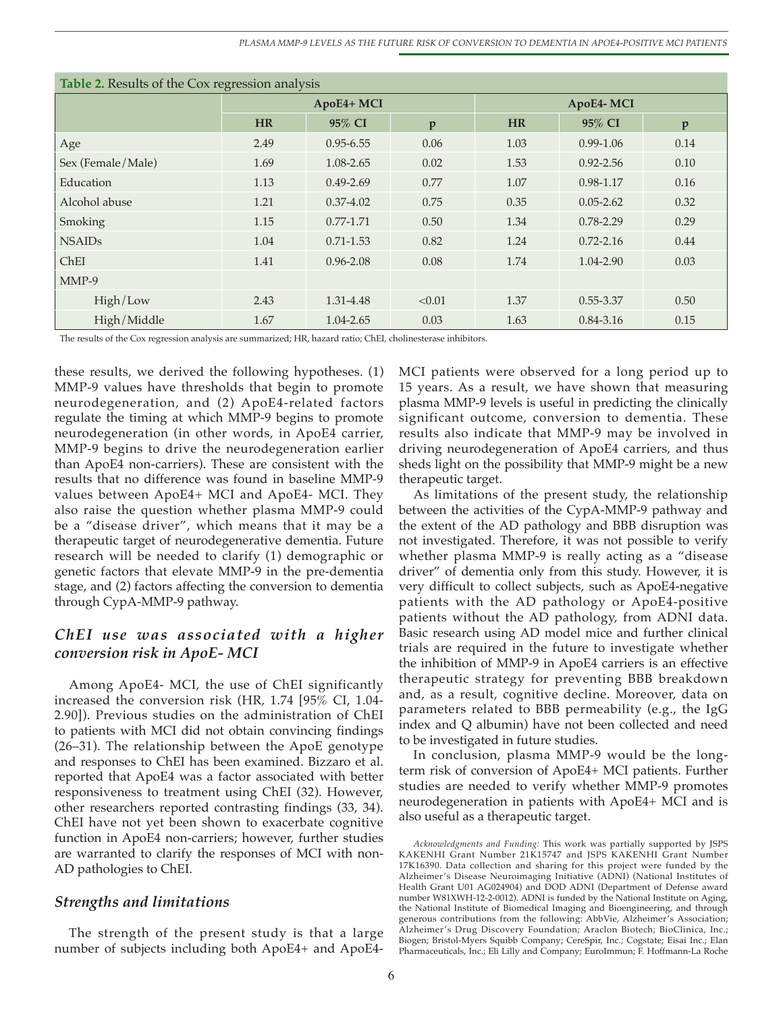*PLASMA MMP-9 LEVELS AS THE FUTURE RISK OF CONVERSION TO DEMENTIA IN APOE4-POSITIVE MCI PATIENTS*

| Table 2. Results of the Cox regression analysis |            |               |              |           |               |      |  |  |  |  |
|-------------------------------------------------|------------|---------------|--------------|-----------|---------------|------|--|--|--|--|
|                                                 | ApoE4+ MCI |               |              | ApoE4-MCI |               |      |  |  |  |  |
|                                                 | <b>HR</b>  | 95% CI        | $\mathbf{p}$ | <b>HR</b> | 95% CI        | p    |  |  |  |  |
| Age                                             | 2.49       | $0.95 - 6.55$ | 0.06         | 1.03      | $0.99 - 1.06$ | 0.14 |  |  |  |  |
| Sex (Female/Male)                               | 1.69       | 1.08-2.65     | 0.02         | 1.53      | $0.92 - 2.56$ | 0.10 |  |  |  |  |
| Education                                       | 1.13       | $0.49 - 2.69$ | 0.77         | 1.07      | 0.98-1.17     | 0.16 |  |  |  |  |
| Alcohol abuse                                   | 1.21       | $0.37 - 4.02$ | 0.75         | 0.35      | $0.05 - 2.62$ | 0.32 |  |  |  |  |
| Smoking                                         | 1.15       | $0.77 - 1.71$ | 0.50         | 1.34      | $0.78 - 2.29$ | 0.29 |  |  |  |  |
| <b>NSAIDs</b>                                   | 1.04       | $0.71 - 1.53$ | 0.82         | 1.24      | $0.72 - 2.16$ | 0.44 |  |  |  |  |
| ChEI                                            | 1.41       | $0.96 - 2.08$ | 0.08         | 1.74      | 1.04-2.90     | 0.03 |  |  |  |  |
| $MMP-9$                                         |            |               |              |           |               |      |  |  |  |  |
| High/Low                                        | 2.43       | 1.31-4.48     | < 0.01       | 1.37      | $0.55 - 3.37$ | 0.50 |  |  |  |  |
| High/Middle                                     | 1.67       | 1.04-2.65     | 0.03         | 1.63      | $0.84 - 3.16$ | 0.15 |  |  |  |  |

The results of the Cox regression analysis are summarized; HR, hazard ratio; ChEI, cholinesterase inhibitors.

these results, we derived the following hypotheses. (1) MMP-9 values have thresholds that begin to promote neurodegeneration, and (2) ApoE4-related factors regulate the timing at which MMP-9 begins to promote neurodegeneration (in other words, in ApoE4 carrier, MMP-9 begins to drive the neurodegeneration earlier than ApoE4 non-carriers). These are consistent with the results that no difference was found in baseline MMP-9 values between ApoE4+ MCI and ApoE4- MCI. They also raise the question whether plasma MMP-9 could be a "disease driver", which means that it may be a therapeutic target of neurodegenerative dementia. Future research will be needed to clarify (1) demographic or genetic factors that elevate MMP-9 in the pre-dementia stage, and (2) factors affecting the conversion to dementia through CypA-MMP-9 pathway.

# *ChEI use was associated with a higher conversion risk in ApoE- MCI*

Among ApoE4- MCI, the use of ChEI significantly increased the conversion risk (HR, 1.74 [95% CI, 1.04- 2.90]). Previous studies on the administration of ChEI to patients with MCI did not obtain convincing findings (26–31). The relationship between the ApoE genotype and responses to ChEI has been examined. Bizzaro et al. reported that ApoE4 was a factor associated with better responsiveness to treatment using ChEI (32). However, other researchers reported contrasting findings (33, 34). ChEI have not yet been shown to exacerbate cognitive function in ApoE4 non-carriers; however, further studies are warranted to clarify the responses of MCI with non-AD pathologies to ChEI.

#### *Strengths and limitations*

The strength of the present study is that a large number of subjects including both ApoE4+ and ApoE4MCI patients were observed for a long period up to 15 years. As a result, we have shown that measuring plasma MMP-9 levels is useful in predicting the clinically significant outcome, conversion to dementia. These results also indicate that MMP-9 may be involved in driving neurodegeneration of ApoE4 carriers, and thus sheds light on the possibility that MMP-9 might be a new therapeutic target.

As limitations of the present study, the relationship between the activities of the CypA-MMP-9 pathway and the extent of the AD pathology and BBB disruption was not investigated. Therefore, it was not possible to verify whether plasma MMP-9 is really acting as a "disease driver" of dementia only from this study. However, it is very difficult to collect subjects, such as ApoE4-negative patients with the AD pathology or ApoE4-positive patients without the AD pathology, from ADNI data. Basic research using AD model mice and further clinical trials are required in the future to investigate whether the inhibition of MMP-9 in ApoE4 carriers is an effective therapeutic strategy for preventing BBB breakdown and, as a result, cognitive decline. Moreover, data on parameters related to BBB permeability (e.g., the IgG index and Q albumin) have not been collected and need to be investigated in future studies.

In conclusion, plasma MMP-9 would be the longterm risk of conversion of ApoE4+ MCI patients. Further studies are needed to verify whether MMP-9 promotes neurodegeneration in patients with ApoE4+ MCI and is also useful as a therapeutic target.

*Acknowledgments and Funding:* This work was partially supported by JSPS KAKENHI Grant Number 21K15747 and JSPS KAKENHI Grant Number 17K16390. Data collection and sharing for this project were funded by the Alzheimer's Disease Neuroimaging Initiative (ADNI) (National Institutes of Health Grant U01 AG024904) and DOD ADNI (Department of Defense award number W81XWH-12-2-0012). ADNI is funded by the National Institute on Aging, the National Institute of Biomedical Imaging and Bioengineering, and through generous contributions from the following: AbbVie, Alzheimer's Association; Alzheimer's Drug Discovery Foundation; Araclon Biotech; BioClinica, Inc.; Biogen; Bristol-Myers Squibb Company; CereSpir, Inc.; Cogstate; Eisai Inc.; Elan Pharmaceuticals, Inc.; Eli Lilly and Company; EuroImmun; F. Hoffmann-La Roche